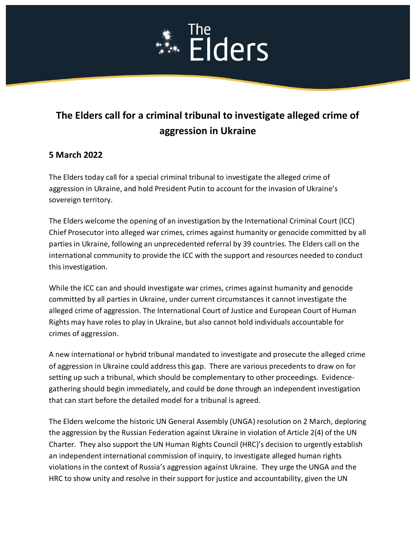# **Elders**

# **The Elders call for a criminal tribunal to investigate alleged crime of aggression in Ukraine**

# **5 March 2022**

The Elders today call for a special criminal tribunal to investigate the alleged crime of aggression in Ukraine, and hold President Putin to account for the invasion of Ukraine's sovereign territory.

The Elders welcome the opening of an investigation by the International Criminal Court (ICC) Chief Prosecutor into alleged war crimes, crimes against humanity or genocide committed by all parties in Ukraine, following an unprecedented referral by 39 countries. The Elders call on the international community to provide the ICC with the support and resources needed to conduct this investigation.

While the ICC can and should investigate war crimes, crimes against humanity and genocide committed by all parties in Ukraine, under current circumstances it cannot investigate the alleged crime of aggression. The International Court of Justice and European Court of Human Rights may have roles to play in Ukraine, but also cannot hold individuals accountable for crimes of aggression.

A new international or hybrid tribunal mandated to investigate and prosecute the alleged crime of aggression in Ukraine could address this gap. There are various precedents to draw on for setting up such a tribunal, which should be complementary to other proceedings. Evidencegathering should begin immediately, and could be done through an independent investigation that can start before the detailed model for a tribunal is agreed.

The Elders welcome the historic UN General Assembly (UNGA) resolution on 2 March, deploring the aggression by the Russian Federation against Ukraine in violation of Article 2(4) of the UN Charter. They also support the UN Human Rights Council (HRC)'s decision to urgently establish an independent international commission of inquiry, to investigate alleged human rights violations in the context of Russia's aggression against Ukraine. They urge the UNGA and the HRC to show unity and resolve in their support for justice and accountability, given the UN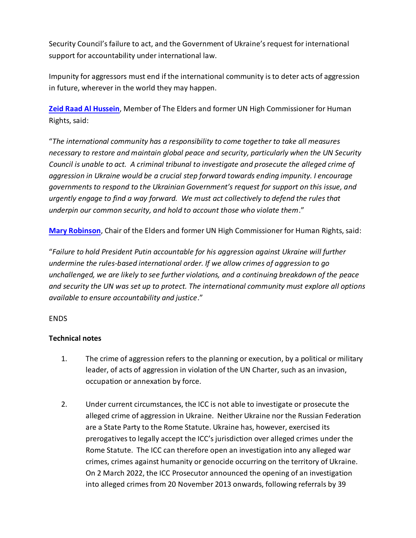Security Council's failure to act, and the Government of Ukraine's request for international support for accountability under international law.

Impunity for aggressors must end if the international community is to deter acts of aggression in future, wherever in the world they may happen.

**[Zeid Raad Al Hussein](https://theelders.org/profile/zeid-raad-al-hussein)**, Member of The Elders and former UN High Commissioner for Human Rights, said:

"*The international community has a responsibility to come together to take all measures necessary to restore and maintain global peace and security, particularly when the UN Security Council is unable to act. A criminal tribunal to investigate and prosecute the alleged crime of aggression in Ukraine would be a crucial step forward towards ending impunity. I encourage governments to respond to the Ukrainian Government's request for support on this issue, and urgently engage to find a way forward. We must act collectively to defend the rules that underpin our common security, and hold to account those who violate them*."

**[Mary Robinson](https://theelders.org/profile/mary-robinson)**, Chair of the Elders and former UN High Commissioner for Human Rights, said:

"*Failure to hold President Putin accountable for his aggression against Ukraine will further undermine the rules-based international order. If we allow crimes of aggression to go unchallenged, we are likely to see further violations, and a continuing breakdown of the peace and security the UN was set up to protect. The international community must explore all options available to ensure accountability and justice*."

## ENDS

# **Technical notes**

- 1. The crime of aggression refers to the planning or execution, by a political or military leader, of acts of aggression in violation of the UN Charter, such as an invasion, occupation or annexation by force.
- 2. Under current circumstances, the ICC is not able to investigate or prosecute the alleged crime of aggression in Ukraine. Neither Ukraine nor the Russian Federation are a State Party to the Rome Statute. Ukraine has, however, exercised its prerogatives to legally accept the ICC's jurisdiction over alleged crimes under the Rome Statute. The ICC can therefore open an investigation into any alleged war crimes, crimes against humanity or genocide occurring on the territory of Ukraine. On 2 March 2022, the ICC Prosecutor announced the opening of an investigation into alleged crimes from 20 November 2013 onwards, following referrals by 39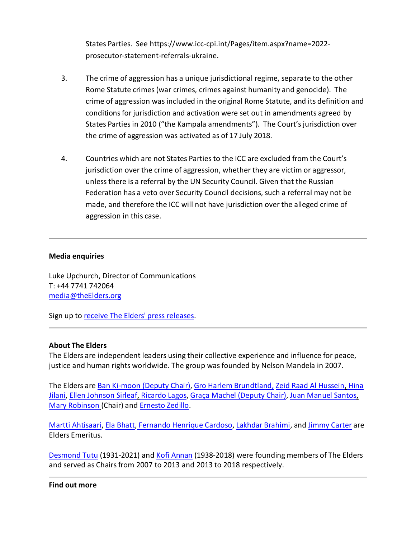States Parties. See https://www.icc-cpi.int/Pages/item.aspx?name=2022 prosecutor-statement-referrals-ukraine.

- 3. The crime of aggression has a unique jurisdictional regime, separate to the other Rome Statute crimes (war crimes, crimes against humanity and genocide). The crime of aggression was included in the original Rome Statute, and its definition and conditions for jurisdiction and activation were set out in amendments agreed by States Parties in 2010 ("the Kampala amendments"). The Court's jurisdiction over the crime of aggression was activated as of 17 July 2018.
- 4. Countries which are not States Parties to the ICC are excluded from the Court's jurisdiction over the crime of aggression, whether they are victim or aggressor, unless there is a referral by the UN Security Council. Given that the Russian Federation has a veto over Security Council decisions, such a referral may not be made, and therefore the ICC will not have jurisdiction over the alleged crime of aggression in this case.

## **Media enquiries**

Luke Upchurch, Director of Communications T: +44 7741 742064 [media@theElders.org](mailto:media@theElders.org)

Sign up to [receive The Elders' press releases.](http://theelders.org/contact/media-request)

## **About The Elders**

The Elders are independent leaders using their collective experience and influence for peace, justice and human rights worldwide. The group was founded by Nelson Mandela in 2007.

The Elders are [Ban Ki-moon](http://theelders.org/ban-ki-moon) (Deputy Chair), [Gro Harlem Brundtland,](http://theelders.org/gro-harlem-brundtland) [Zeid Raad Al Hussein,](https://theelders.org/profile/zeid-raad-al-hussein) [Hina](http://theelders.org/hina-jilani)  [Jilani,](http://theelders.org/hina-jilani) [Ellen Johnson Sirleaf,](https://theelders.org/profile/ellen-johnson-sirleaf) [Ricardo Lagos,](http://theelders.org/ricardo-lagos) [Graça Machel](http://theelders.org/graca-machel) (Deputy Chair)[, Juan Manuel Santos,](https://theelders.org/profile/juan-manuel-santos) [Mary Robinson](http://theelders.org/mary-robinson) (Chair) and [Ernesto Zedillo.](http://theelders.org/ernesto-zedillo)

[Martti Ahtisaari,](http://theelders.org/martti-ahtisaari) [Ela Bhatt,](http://theelders.org/ela-bhatt) [Fernando Henrique Cardoso,](http://theelders.org/fernando-h-cardoso) [Lakhdar Brahimi,](https://theelders.org/profile/lakhdar-brahimi) and [Jimmy Carter](http://theelders.org/jimmy-carter) are Elders Emeritus.

[Desmond Tutu](https://theelders.org/profile/desmond-tutu) (1931-2021) and [Kofi Annan](https://theelders.org/kofi-annan) (1938-2018) were founding members of The Elders and served as Chairs from 2007 to 2013 and 2013 to 2018 respectively.

#### **Find out more**